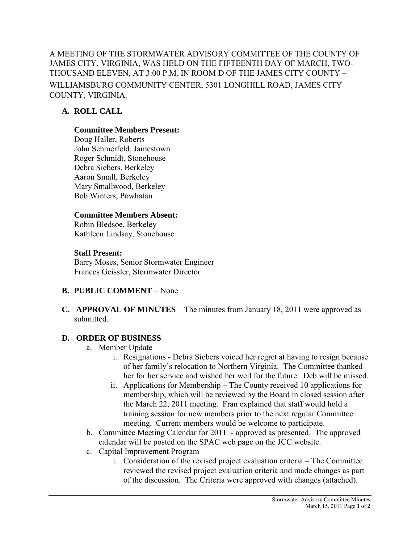A MEETING OF THE STORMWATER ADVISORY COMMITTEE OF THE COUNTY OF JAMES CITY, VIRGINIA, WAS HELD ON THE FIFTEENTH DAY OF MARCH, TWO-THOUSAND ELEVEN, AT 3:00 P.M. IN ROOM D OF THE JAMES CITY COUNTY – WILLIAMSBURG COMMUNITY CENTER, 5301 LONGHILL ROAD, JAMES CITY COUNTY, VIRGINIA.

# **A. ROLL CALL**

#### **Committee Members Present:**

Doug Haller, Roberts John Schmerfeld, Jamestown Roger Schmidt, Stonehouse Debra Siebers, Berkeley Aaron Small, Berkeley Mary Smallwood, Berkeley Bob Winters, Powhatan

#### **Committee Members Absent:**

Robin Bledsoe, Berkeley Kathleen Lindsay, Stonehouse

## **Staff Present:**

Barry Moses, Senior Stormwater Engineer Frances Geissler, Stormwater Director

## **B. PUBLIC COMMENT** – None

**C. APPROVAL OF MINUTES** – The minutes from January 18, 2011 were approved as submitted.

## **D. ORDER OF BUSINESS**

- a. Member Update
	- i. Resignations Debra Siebers voiced her regret at having to resign because of her family's relocation to Northern Virginia. The Committee thanked her for her service and wished her well for the future. Deb will be missed.
	- ii. Applications for Membership The County received 10 applications for membership, which will be reviewed by the Board in closed session after the March 22, 2011 meeting. Fran explained that staff would hold a training session for new members prior to the next regular Committee meeting. Current members would be welcome to participate.
- b. Committee Meeting Calendar for 2011 approved as presented. The approved calendar will be posted on the SPAC web page on the JCC website.
- c. Capital Improvement Program
	- i. Consideration of the revised project evaluation criteria The Committee reviewed the revised project evaluation criteria and made changes as part of the discussion. The Criteria were approved with changes (attached).